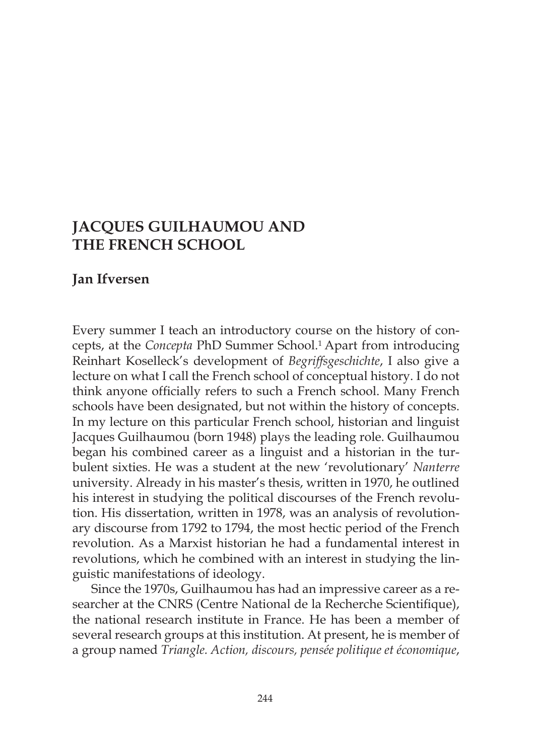# **JACQUES GUILHAUMOU AND THE FRENCH SCHOOL**

# **Jan Ifversen**

Every summer I teach an introductory course on the history of concepts, at the *Concepta* PhD Summer School.<sup>1</sup> Apart from introducing Reinhart Koselleck's development of *Begriffsgeschichte*, I also give a lecture on what I call the French school of conceptual history. I do not think anyone officially refers to such a French school. Many French schools have been designated, but not within the history of concepts. In my lecture on this particular French school, historian and linguist Jacques Guilhaumou (born 1948) plays the leading role. Guilhaumou began his combined career as a linguist and a historian in the turbulent sixties. He was a student at the new 'revolutionary' *Nanterre*  university. Already in his master's thesis, written in 1970, he outlined his interest in studying the political discourses of the French revolution. His dissertation, written in 1978, was an analysis of revolutionary discourse from 1792 to 1794, the most hectic period of the French revolution. As a Marxist historian he had a fundamental interest in revolutions, which he combined with an interest in studying the linguistic manifestations of ideology.

Since the 1970s, Guilhaumou has had an impressive career as a researcher at the CNRS (Centre National de la Recherche Scientifique), the national research institute in France. He has been a member of several research groups at this institution. At present, he is member of a group named *Triangle. Action, discours, pensée politique et économique*,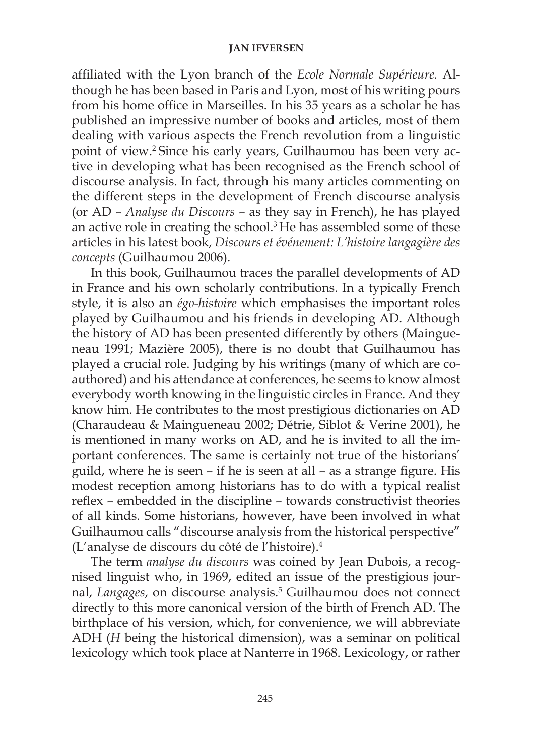affiliated with the Lyon branch of the *Ecole Normale Supérieure.* Although he has been based in Paris and Lyon, most of his writing pours from his home office in Marseilles. In his 35 years as a scholar he has published an impressive number of books and articles, most of them dealing with various aspects the French revolution from a linguistic point of view.2 Since his early years, Guilhaumou has been very active in developing what has been recognised as the French school of discourse analysis. In fact, through his many articles commenting on the different steps in the development of French discourse analysis (or AD – *Analyse du Discours* – as they say in French), he has played an active role in creating the school.3 He has assembled some of these articles in his latest book, *Discours et événement: L'histoire langagière des concepts* (Guilhaumou 2006).

In this book, Guilhaumou traces the parallel developments of AD in France and his own scholarly contributions. In a typically French style, it is also an *égo-histoire* which emphasises the important roles played by Guilhaumou and his friends in developing AD. Although the history of AD has been presented differently by others (Maingueneau 1991; Mazière 2005), there is no doubt that Guilhaumou has played a crucial role. Judging by his writings (many of which are coauthored) and his attendance at conferences, he seems to know almost everybody worth knowing in the linguistic circles in France. And they know him. He contributes to the most prestigious dictionaries on AD (Charaudeau & Maingueneau 2002; Détrie, Siblot & Verine 2001), he is mentioned in many works on AD, and he is invited to all the important conferences. The same is certainly not true of the historians' guild, where he is seen – if he is seen at all – as a strange figure. His modest reception among historians has to do with a typical realist reflex – embedded in the discipline – towards constructivist theories of all kinds. Some historians, however, have been involved in what Guilhaumou calls "discourse analysis from the historical perspective" (L'analyse de discours du côté de l'histoire).4

The term *analyse du discours* was coined by Jean Dubois, a recognised linguist who, in 1969, edited an issue of the prestigious journal, Langages, on discourse analysis.<sup>5</sup> Guilhaumou does not connect directly to this more canonical version of the birth of French AD. The birthplace of his version, which, for convenience, we will abbreviate ADH (*H* being the historical dimension), was a seminar on political lexicology which took place at Nanterre in 1968. Lexicology, or rather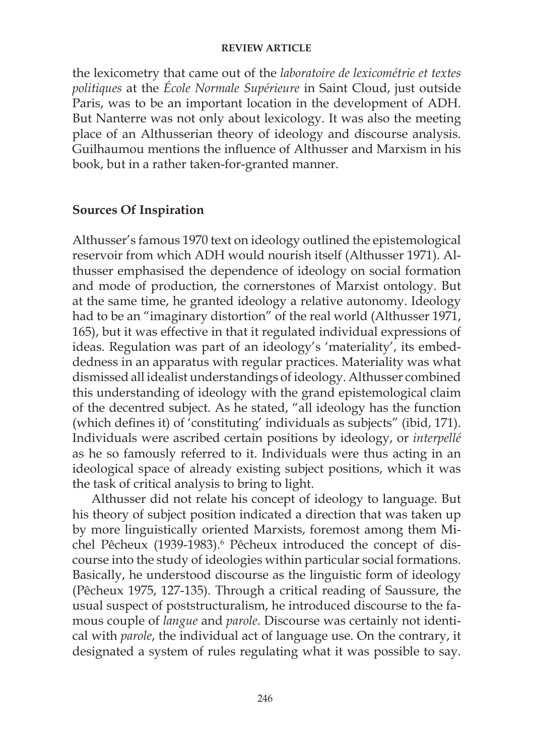the lexicometry that came out of the *laboratoire de lexicométrie et textes politiques* at the *École Normale Supérieure* in Saint Cloud, just outside Paris, was to be an important location in the development of ADH. But Nanterre was not only about lexicology. It was also the meeting place of an Althusserian theory of ideology and discourse analysis. Guilhaumou mentions the influence of Althusser and Marxism in his book, but in a rather taken-for-granted manner.

## **Sources Of Inspiration**

Althusser's famous 1970 text on ideology outlined the epistemological reservoir from which ADH would nourish itself (Althusser 1971). Althusser emphasised the dependence of ideology on social formation and mode of production, the cornerstones of Marxist ontology. But at the same time, he granted ideology a relative autonomy. Ideology had to be an "imaginary distortion" of the real world (Althusser 1971, 165), but it was effective in that it regulated individual expressions of ideas. Regulation was part of an ideology's 'materiality', its embeddedness in an apparatus with regular practices. Materiality was what dismissed all idealist understandings of ideology. Althusser combined this understanding of ideology with the grand epistemological claim of the decentred subject. As he stated, "all ideology has the function (which defines it) of 'constituting' individuals as subjects" (ibid, 171). Individuals were ascribed certain positions by ideology, or *interpellé*  as he so famously referred to it. Individuals were thus acting in an ideological space of already existing subject positions, which it was the task of critical analysis to bring to light.

Althusser did not relate his concept of ideology to language. But his theory of subject position indicated a direction that was taken up by more linguistically oriented Marxists, foremost among them Michel Pêcheux (1939-1983).<sup>6</sup> Pêcheux introduced the concept of discourse into the study of ideologies within particular social formations. Basically, he understood discourse as the linguistic form of ideology (Pêcheux 1975, 127-135). Through a critical reading of Saussure, the usual suspect of poststructuralism, he introduced discourse to the famous couple of *langue* and *parole*. Discourse was certainly not identical with *parole*, the individual act of language use. On the contrary, it designated a system of rules regulating what it was possible to say.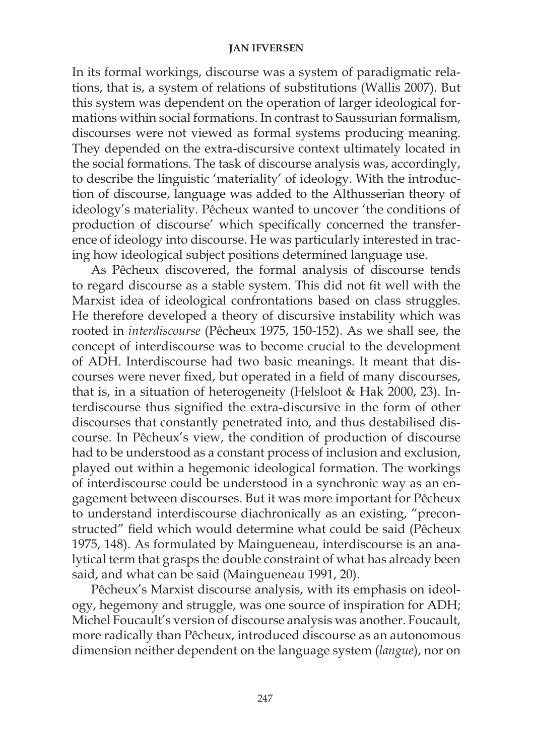In its formal workings, discourse was a system of paradigmatic relations, that is, a system of relations of substitutions (Wallis 2007). But this system was dependent on the operation of larger ideological formations within social formations. In contrast to Saussurian formalism, discourses were not viewed as formal systems producing meaning. They depended on the extra-discursive context ultimately located in the social formations. The task of discourse analysis was, accordingly, to describe the linguistic 'materiality' of ideology. With the introduction of discourse, language was added to the Althusserian theory of ideology's materiality. Pêcheux wanted to uncover 'the conditions of production of discourse' which specifically concerned the transference of ideology into discourse. He was particularly interested in tracing how ideological subject positions determined language use.

As Pêcheux discovered, the formal analysis of discourse tends to regard discourse as a stable system. This did not fit well with the Marxist idea of ideological confrontations based on class struggles. He therefore developed a theory of discursive instability which was rooted in *interdiscourse* (Pêcheux 1975, 150-152). As we shall see, the concept of interdiscourse was to become crucial to the development of ADH. Interdiscourse had two basic meanings. It meant that discourses were never fixed, but operated in a field of many discourses, that is, in a situation of heterogeneity (Helsloot & Hak 2000, 23). Interdiscourse thus signified the extra-discursive in the form of other discourses that constantly penetrated into, and thus destabilised discourse. In Pêcheux's view, the condition of production of discourse had to be understood as a constant process of inclusion and exclusion, played out within a hegemonic ideological formation. The workings of interdiscourse could be understood in a synchronic way as an engagement between discourses. But it was more important for Pêcheux to understand interdiscourse diachronically as an existing, "preconstructed" field which would determine what could be said (Pêcheux 1975, 148). As formulated by Maingueneau, interdiscourse is an analytical term that grasps the double constraint of what has already been said, and what can be said (Maingueneau 1991, 20).

Pêcheux's Marxist discourse analysis, with its emphasis on ideology, hegemony and struggle, was one source of inspiration for ADH; Michel Foucault's version of discourse analysis was another. Foucault, more radically than Pêcheux, introduced discourse as an autonomous dimension neither dependent on the language system (*langue*), nor on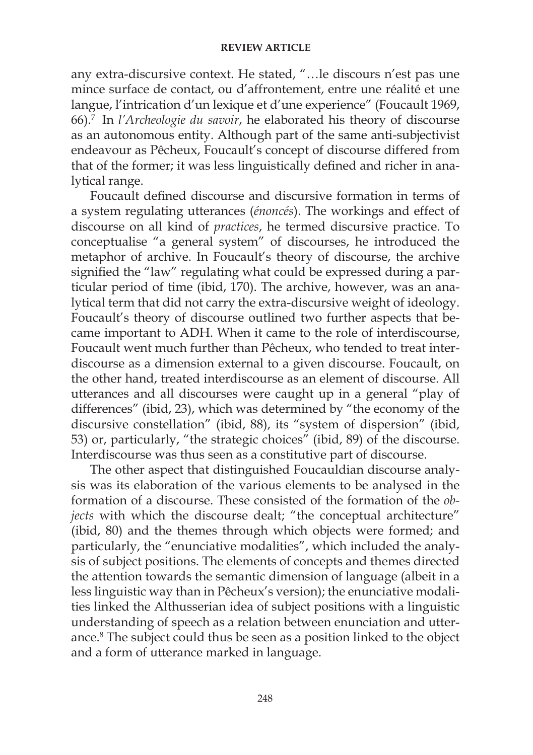any extra-discursive context. He stated, "…le discours n'est pas une mince surface de contact, ou d'affrontement, entre une réalité et une langue, l'intrication d'un lexique et d'une experience" (Foucault 1969, 66).7 In *l'Archeologie du savoir*, he elaborated his theory of discourse as an autonomous entity. Although part of the same anti-subjectivist endeavour as Pêcheux, Foucault's concept of discourse differed from that of the former; it was less linguistically defined and richer in analytical range.

Foucault defined discourse and discursive formation in terms of a system regulating utterances (*énoncés*). The workings and effect of discourse on all kind of *practices*, he termed discursive practice. To conceptualise "a general system" of discourses, he introduced the metaphor of archive. In Foucault's theory of discourse, the archive signified the "law" regulating what could be expressed during a particular period of time (ibid, 170). The archive, however, was an analytical term that did not carry the extra-discursive weight of ideology. Foucault's theory of discourse outlined two further aspects that became important to ADH. When it came to the role of interdiscourse, Foucault went much further than Pêcheux, who tended to treat interdiscourse as a dimension external to a given discourse. Foucault, on the other hand, treated interdiscourse as an element of discourse. All utterances and all discourses were caught up in a general "play of differences" (ibid, 23), which was determined by "the economy of the discursive constellation" (ibid, 88), its "system of dispersion" (ibid, 53) or, particularly, "the strategic choices" (ibid, 89) of the discourse. Interdiscourse was thus seen as a constitutive part of discourse.

The other aspect that distinguished Foucauldian discourse analysis was its elaboration of the various elements to be analysed in the formation of a discourse. These consisted of the formation of the *objects* with which the discourse dealt; "the conceptual architecture" (ibid, 80) and the themes through which objects were formed; and particularly, the "enunciative modalities", which included the analysis of subject positions. The elements of concepts and themes directed the attention towards the semantic dimension of language (albeit in a less linguistic way than in Pêcheux's version); the enunciative modalities linked the Althusserian idea of subject positions with a linguistic understanding of speech as a relation between enunciation and utterance.8 The subject could thus be seen as a position linked to the object and a form of utterance marked in language.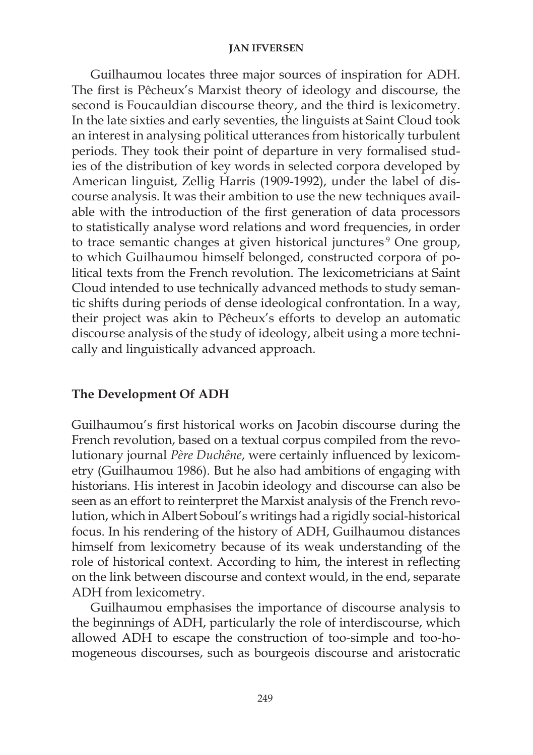Guilhaumou locates three major sources of inspiration for ADH. The first is Pêcheux's Marxist theory of ideology and discourse, the second is Foucauldian discourse theory, and the third is lexicometry. In the late sixties and early seventies, the linguists at Saint Cloud took an interest in analysing political utterances from historically turbulent periods. They took their point of departure in very formalised studies of the distribution of key words in selected corpora developed by American linguist, Zellig Harris (1909-1992), under the label of discourse analysis. It was their ambition to use the new techniques available with the introduction of the first generation of data processors to statistically analyse word relations and word frequencies, in order to trace semantic changes at given historical junctures.<sup>9</sup> One group, to which Guilhaumou himself belonged, constructed corpora of political texts from the French revolution. The lexicometricians at Saint Cloud intended to use technically advanced methods to study semantic shifts during periods of dense ideological confrontation. In a way, their project was akin to Pêcheux's efforts to develop an automatic discourse analysis of the study of ideology, albeit using a more technically and linguistically advanced approach.

# **The Development Of ADH**

Guilhaumou's first historical works on Jacobin discourse during the French revolution, based on a textual corpus compiled from the revolutionary journal *Père Duchêne*, were certainly influenced by lexicometry (Guilhaumou 1986). But he also had ambitions of engaging with historians. His interest in Jacobin ideology and discourse can also be seen as an effort to reinterpret the Marxist analysis of the French revolution, which in Albert Soboul's writings had a rigidly social-historical focus. In his rendering of the history of ADH, Guilhaumou distances himself from lexicometry because of its weak understanding of the role of historical context. According to him, the interest in reflecting on the link between discourse and context would, in the end, separate ADH from lexicometry.

Guilhaumou emphasises the importance of discourse analysis to the beginnings of ADH, particularly the role of interdiscourse, which allowed ADH to escape the construction of too-simple and too-homogeneous discourses, such as bourgeois discourse and aristocratic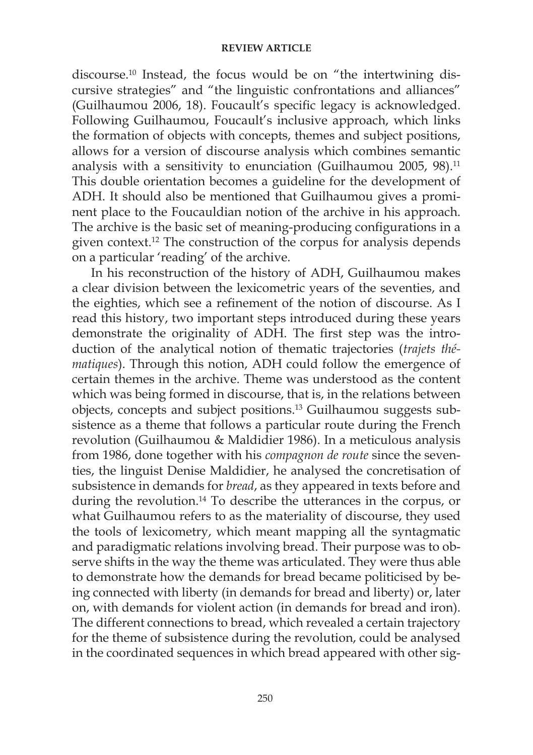discourse.10 Instead, the focus would be on "the intertwining discursive strategies" and "the linguistic confrontations and alliances" (Guilhaumou 2006, 18). Foucault's specific legacy is acknowledged. Following Guilhaumou, Foucault's inclusive approach, which links the formation of objects with concepts, themes and subject positions, allows for a version of discourse analysis which combines semantic analysis with a sensitivity to enunciation (Guilhaumou 2005, 98).<sup>11</sup> This double orientation becomes a guideline for the development of ADH. It should also be mentioned that Guilhaumou gives a prominent place to the Foucauldian notion of the archive in his approach. The archive is the basic set of meaning-producing configurations in a given context.12 The construction of the corpus for analysis depends on a particular 'reading' of the archive.

In his reconstruction of the history of ADH, Guilhaumou makes a clear division between the lexicometric years of the seventies, and the eighties, which see a refinement of the notion of discourse. As I read this history, two important steps introduced during these years demonstrate the originality of ADH. The first step was the introduction of the analytical notion of thematic trajectories (*trajets thématiques*). Through this notion, ADH could follow the emergence of certain themes in the archive. Theme was understood as the content which was being formed in discourse, that is, in the relations between objects, concepts and subject positions.13 Guilhaumou suggests subsistence as a theme that follows a particular route during the French revolution (Guilhaumou & Maldidier 1986). In a meticulous analysis from 1986, done together with his *compagnon de route* since the seventies, the linguist Denise Maldidier, he analysed the concretisation of subsistence in demands for *bread*, as they appeared in texts before and during the revolution.14 To describe the utterances in the corpus, or what Guilhaumou refers to as the materiality of discourse, they used the tools of lexicometry, which meant mapping all the syntagmatic and paradigmatic relations involving bread. Their purpose was to observe shifts in the way the theme was articulated. They were thus able to demonstrate how the demands for bread became politicised by being connected with liberty (in demands for bread and liberty) or, later on, with demands for violent action (in demands for bread and iron). The different connections to bread, which revealed a certain trajectory for the theme of subsistence during the revolution, could be analysed in the coordinated sequences in which bread appeared with other sig-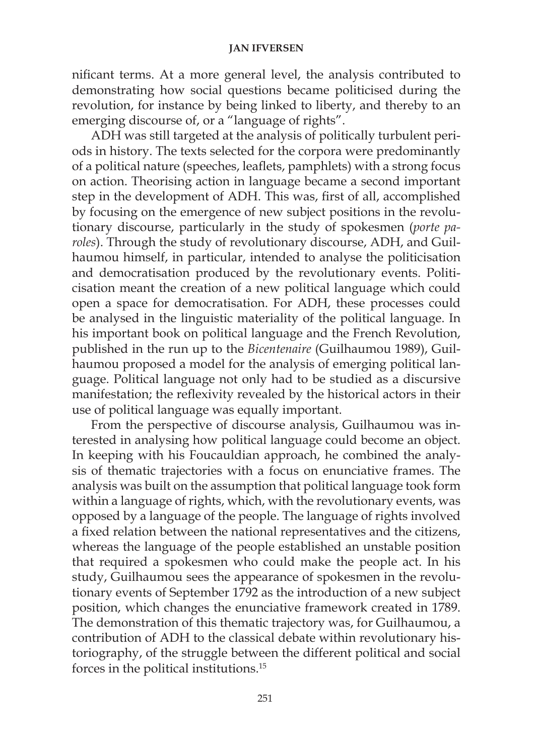nificant terms. At a more general level, the analysis contributed to demonstrating how social questions became politicised during the revolution, for instance by being linked to liberty, and thereby to an emerging discourse of, or a "language of rights".

ADH was still targeted at the analysis of politically turbulent periods in history. The texts selected for the corpora were predominantly of a political nature (speeches, leaflets, pamphlets) with a strong focus on action. Theorising action in language became a second important step in the development of ADH. This was, first of all, accomplished by focusing on the emergence of new subject positions in the revolutionary discourse, particularly in the study of spokesmen (*porte paroles*). Through the study of revolutionary discourse, ADH, and Guilhaumou himself, in particular, intended to analyse the politicisation and democratisation produced by the revolutionary events. Politicisation meant the creation of a new political language which could open a space for democratisation. For ADH, these processes could be analysed in the linguistic materiality of the political language. In his important book on political language and the French Revolution, published in the run up to the *Bicentenaire* (Guilhaumou 1989), Guilhaumou proposed a model for the analysis of emerging political language. Political language not only had to be studied as a discursive manifestation; the reflexivity revealed by the historical actors in their use of political language was equally important.

From the perspective of discourse analysis, Guilhaumou was interested in analysing how political language could become an object. In keeping with his Foucauldian approach, he combined the analysis of thematic trajectories with a focus on enunciative frames. The analysis was built on the assumption that political language took form within a language of rights, which, with the revolutionary events, was opposed by a language of the people. The language of rights involved a fixed relation between the national representatives and the citizens, whereas the language of the people established an unstable position that required a spokesmen who could make the people act. In his study, Guilhaumou sees the appearance of spokesmen in the revolutionary events of September 1792 as the introduction of a new subject position, which changes the enunciative framework created in 1789. The demonstration of this thematic trajectory was, for Guilhaumou, a contribution of ADH to the classical debate within revolutionary historiography, of the struggle between the different political and social forces in the political institutions.15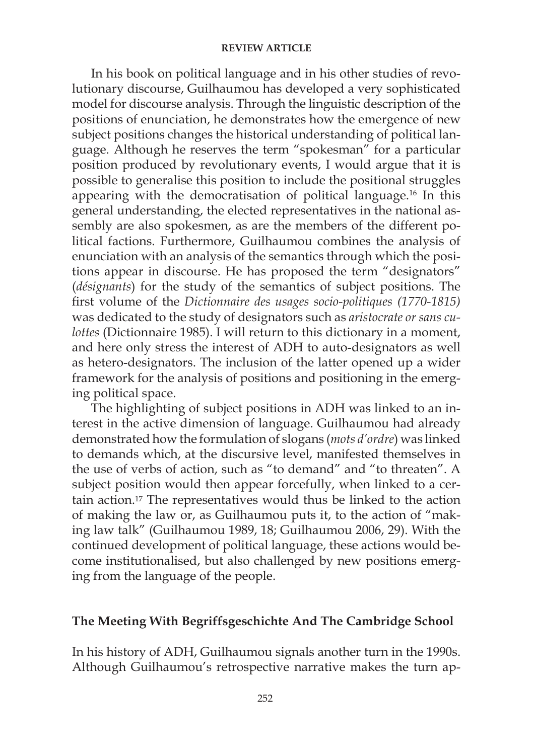In his book on political language and in his other studies of revolutionary discourse, Guilhaumou has developed a very sophisticated model for discourse analysis. Through the linguistic description of the positions of enunciation, he demonstrates how the emergence of new subject positions changes the historical understanding of political language. Although he reserves the term "spokesman" for a particular position produced by revolutionary events, I would argue that it is possible to generalise this position to include the positional struggles appearing with the democratisation of political language.16 In this general understanding, the elected representatives in the national assembly are also spokesmen, as are the members of the different political factions. Furthermore, Guilhaumou combines the analysis of enunciation with an analysis of the semantics through which the positions appear in discourse. He has proposed the term "designators" (*désignants*) for the study of the semantics of subject positions. The first volume of the *Dictionnaire des usages socio-politiques (1770-1815)* was dedicated to the study of designators such as *aristocrate or sans culottes* (Dictionnaire 1985). I will return to this dictionary in a moment, and here only stress the interest of ADH to auto-designators as well as hetero-designators. The inclusion of the latter opened up a wider framework for the analysis of positions and positioning in the emerging political space.

The highlighting of subject positions in ADH was linked to an interest in the active dimension of language. Guilhaumou had already demonstrated how the formulation of slogans (*mots d'ordre*) was linked to demands which, at the discursive level, manifested themselves in the use of verbs of action, such as "to demand" and "to threaten". A subject position would then appear forcefully, when linked to a certain action.17 The representatives would thus be linked to the action of making the law or, as Guilhaumou puts it, to the action of "making law talk" (Guilhaumou 1989, 18; Guilhaumou 2006, 29). With the continued development of political language, these actions would become institutionalised, but also challenged by new positions emerging from the language of the people.

## **The Meeting With Begriffsgeschichte And The Cambridge School**

In his history of ADH, Guilhaumou signals another turn in the 1990s. Although Guilhaumou's retrospective narrative makes the turn ap-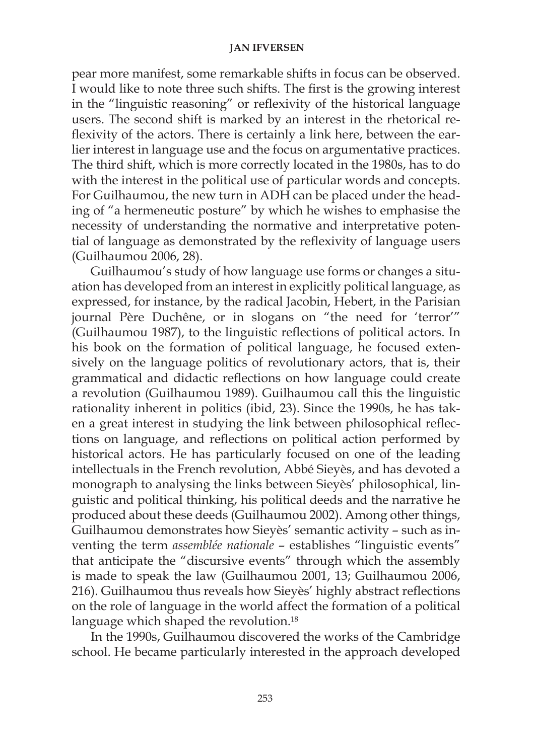pear more manifest, some remarkable shifts in focus can be observed. I would like to note three such shifts. The first is the growing interest in the "linguistic reasoning" or reflexivity of the historical language users. The second shift is marked by an interest in the rhetorical reflexivity of the actors. There is certainly a link here, between the earlier interest in language use and the focus on argumentative practices. The third shift, which is more correctly located in the 1980s, has to do with the interest in the political use of particular words and concepts. For Guilhaumou, the new turn in ADH can be placed under the heading of "a hermeneutic posture" by which he wishes to emphasise the necessity of understanding the normative and interpretative potential of language as demonstrated by the reflexivity of language users (Guilhaumou 2006, 28).

Guilhaumou's study of how language use forms or changes a situation has developed from an interest in explicitly political language, as expressed, for instance, by the radical Jacobin, Hebert, in the Parisian journal Père Duchêne, or in slogans on "the need for 'terror'" (Guilhaumou 1987), to the linguistic reflections of political actors. In his book on the formation of political language, he focused extensively on the language politics of revolutionary actors, that is, their grammatical and didactic reflections on how language could create a revolution (Guilhaumou 1989). Guilhaumou call this the linguistic rationality inherent in politics (ibid, 23). Since the 1990s, he has taken a great interest in studying the link between philosophical reflections on language, and reflections on political action performed by historical actors. He has particularly focused on one of the leading intellectuals in the French revolution, Abbé Sieyès, and has devoted a monograph to analysing the links between Sieyès' philosophical, linguistic and political thinking, his political deeds and the narrative he produced about these deeds (Guilhaumou 2002). Among other things, Guilhaumou demonstrates how Sieyès' semantic activity – such as inventing the term *assemblée nationale* – establishes "linguistic events" that anticipate the "discursive events" through which the assembly is made to speak the law (Guilhaumou 2001, 13; Guilhaumou 2006, 216). Guilhaumou thus reveals how Sieyès' highly abstract reflections on the role of language in the world affect the formation of a political language which shaped the revolution.<sup>18</sup>

In the 1990s, Guilhaumou discovered the works of the Cambridge school. He became particularly interested in the approach developed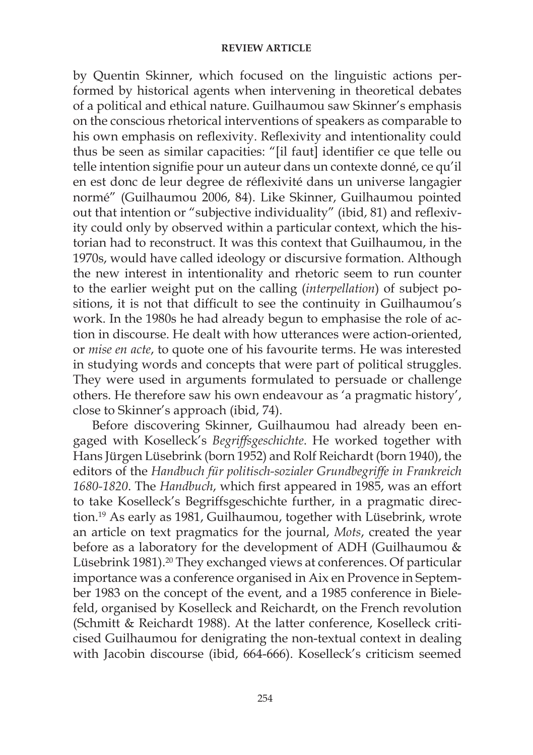by Quentin Skinner, which focused on the linguistic actions performed by historical agents when intervening in theoretical debates of a political and ethical nature. Guilhaumou saw Skinner's emphasis on the conscious rhetorical interventions of speakers as comparable to his own emphasis on reflexivity. Reflexivity and intentionality could thus be seen as similar capacities: "[il faut] identifier ce que telle ou telle intention signifie pour un auteur dans un contexte donné, ce qu'il en est donc de leur degree de réflexivité dans un universe langagier normé" (Guilhaumou 2006, 84). Like Skinner, Guilhaumou pointed out that intention or "subjective individuality" (ibid, 81) and reflexivity could only by observed within a particular context, which the historian had to reconstruct. It was this context that Guilhaumou, in the 1970s, would have called ideology or discursive formation. Although the new interest in intentionality and rhetoric seem to run counter to the earlier weight put on the calling (*interpellation*) of subject positions, it is not that difficult to see the continuity in Guilhaumou's work. In the 1980s he had already begun to emphasise the role of action in discourse. He dealt with how utterances were action-oriented, or *mise en acte*, to quote one of his favourite terms. He was interested in studying words and concepts that were part of political struggles. They were used in arguments formulated to persuade or challenge others. He therefore saw his own endeavour as 'a pragmatic history', close to Skinner's approach (ibid, 74).

Before discovering Skinner, Guilhaumou had already been engaged with Koselleck's *Begriffsgeschichte*. He worked together with Hans Jürgen Lüsebrink (born 1952) and Rolf Reichardt (born 1940), the editors of the *Handbuch für politisch-sozialer Grundbegriffe in Frankreich 1680-1820*. The *Handbuch*, which first appeared in 1985, was an effort to take Koselleck's Begriffsgeschichte further, in a pragmatic direction.19 As early as 1981, Guilhaumou, together with Lüsebrink, wrote an article on text pragmatics for the journal, *Mots*, created the year before as a laboratory for the development of ADH (Guilhaumou & Lüsebrink 1981).20 They exchanged views at conferences. Of particular importance was a conference organised in Aix en Provence in September 1983 on the concept of the event, and a 1985 conference in Bielefeld, organised by Koselleck and Reichardt, on the French revolution (Schmitt & Reichardt 1988). At the latter conference, Koselleck criticised Guilhaumou for denigrating the non-textual context in dealing with Jacobin discourse (ibid, 664-666). Koselleck's criticism seemed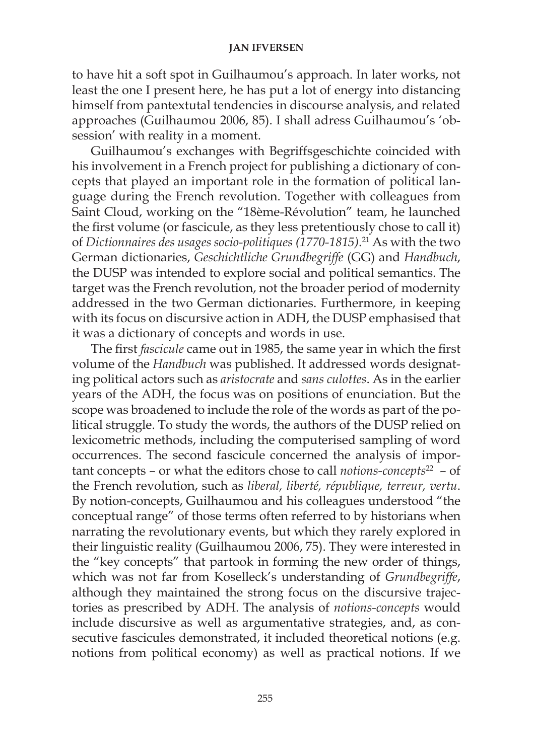to have hit a soft spot in Guilhaumou's approach. In later works, not least the one I present here, he has put a lot of energy into distancing himself from pantextutal tendencies in discourse analysis, and related approaches (Guilhaumou 2006, 85). I shall adress Guilhaumou's 'obsession' with reality in a moment.

Guilhaumou's exchanges with Begriffsgeschichte coincided with his involvement in a French project for publishing a dictionary of concepts that played an important role in the formation of political language during the French revolution. Together with colleagues from Saint Cloud, working on the "18ème-Révolution" team, he launched the first volume (or fascicule, as they less pretentiously chose to call it) of *Dictionnaires des usages socio-politiques (1770-1815)*. 21 As with the two German dictionaries, *Geschichtliche Grundbegriffe* (GG) and *Handbuch*, the DUSP was intended to explore social and political semantics. The target was the French revolution, not the broader period of modernity addressed in the two German dictionaries. Furthermore, in keeping with its focus on discursive action in ADH, the DUSP emphasised that it was a dictionary of concepts and words in use.

The first *fascicule* came out in 1985, the same year in which the first volume of the *Handbuch* was published. It addressed words designating political actors such as *aristocrate* and *sans culottes*. As in the earlier years of the ADH, the focus was on positions of enunciation. But the scope was broadened to include the role of the words as part of the political struggle. To study the words, the authors of the DUSP relied on lexicometric methods, including the computerised sampling of word occurrences. The second fascicule concerned the analysis of important concepts – or what the editors chose to call *notions-concepts*22 – of the French revolution, such as *liberal, liberté, république, terreur, vertu*. By notion-concepts, Guilhaumou and his colleagues understood "the conceptual range" of those terms often referred to by historians when narrating the revolutionary events, but which they rarely explored in their linguistic reality (Guilhaumou 2006, 75). They were interested in the "key concepts" that partook in forming the new order of things, which was not far from Koselleck's understanding of *Grundbegriffe*, although they maintained the strong focus on the discursive trajectories as prescribed by ADH. The analysis of *notions-concepts* would include discursive as well as argumentative strategies, and, as consecutive fascicules demonstrated, it included theoretical notions (e.g. notions from political economy) as well as practical notions. If we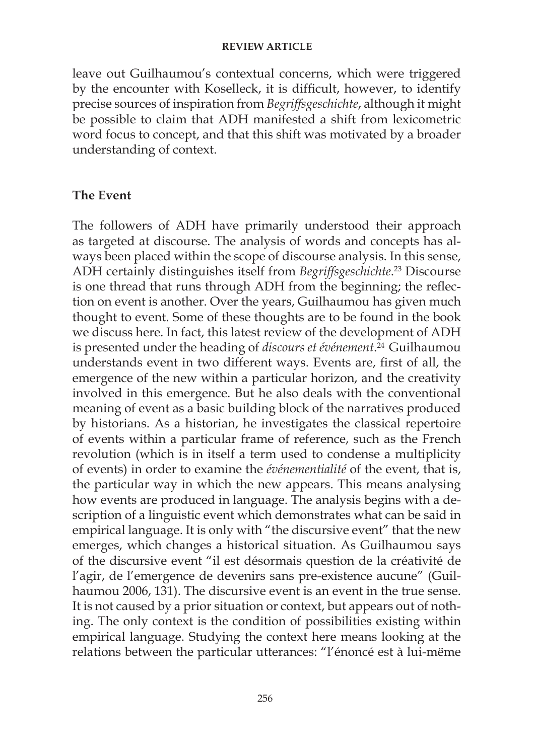leave out Guilhaumou's contextual concerns, which were triggered by the encounter with Koselleck, it is difficult, however, to identify precise sources of inspiration from *Begriffsgeschichte*, although it might be possible to claim that ADH manifested a shift from lexicometric word focus to concept, and that this shift was motivated by a broader understanding of context.

## **The Event**

The followers of ADH have primarily understood their approach as targeted at discourse. The analysis of words and concepts has always been placed within the scope of discourse analysis. In this sense, ADH certainly distinguishes itself from *Begriffsgeschichte*. 23 Discourse is one thread that runs through ADH from the beginning; the reflection on event is another. Over the years, Guilhaumou has given much thought to event. Some of these thoughts are to be found in the book we discuss here. In fact, this latest review of the development of ADH is presented under the heading of *discours et événement*. 24 Guilhaumou understands event in two different ways. Events are, first of all, the emergence of the new within a particular horizon, and the creativity involved in this emergence. But he also deals with the conventional meaning of event as a basic building block of the narratives produced by historians. As a historian, he investigates the classical repertoire of events within a particular frame of reference, such as the French revolution (which is in itself a term used to condense a multiplicity of events) in order to examine the *événementialité* of the event, that is, the particular way in which the new appears. This means analysing how events are produced in language. The analysis begins with a description of a linguistic event which demonstrates what can be said in empirical language. It is only with "the discursive event" that the new emerges, which changes a historical situation. As Guilhaumou says of the discursive event "il est désormais question de la créativité de l'agir, de l'emergence de devenirs sans pre-existence aucune" (Guilhaumou 2006, 131). The discursive event is an event in the true sense. It is not caused by a prior situation or context, but appears out of nothing. The only context is the condition of possibilities existing within empirical language. Studying the context here means looking at the relations between the particular utterances: "l'énoncé est à lui-mëme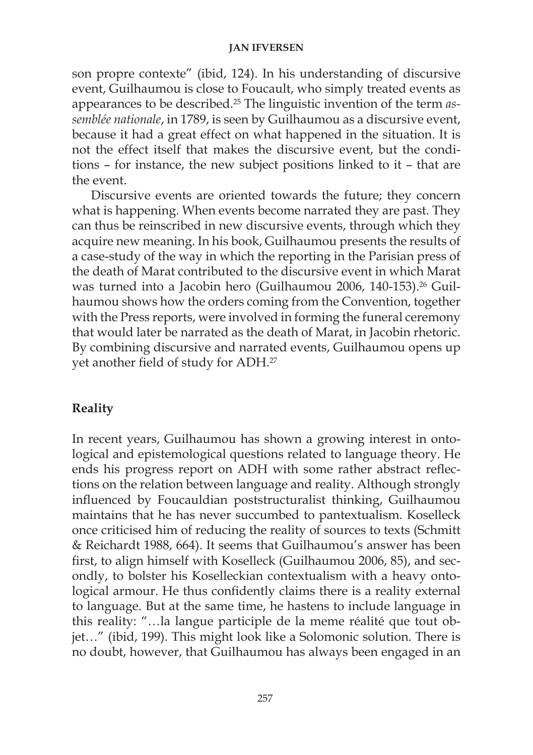son propre contexte" (ibid, 124). In his understanding of discursive event, Guilhaumou is close to Foucault, who simply treated events as appearances to be described.25 The linguistic invention of the term *assemblée nationale*, in 1789, is seen by Guilhaumou as a discursive event, because it had a great effect on what happened in the situation. It is not the effect itself that makes the discursive event, but the conditions – for instance, the new subject positions linked to it – that are the event.

Discursive events are oriented towards the future; they concern what is happening. When events become narrated they are past. They can thus be reinscribed in new discursive events, through which they acquire new meaning. In his book, Guilhaumou presents the results of a case-study of the way in which the reporting in the Parisian press of the death of Marat contributed to the discursive event in which Marat was turned into a Jacobin hero (Guilhaumou 2006, 140-153).<sup>26</sup> Guilhaumou shows how the orders coming from the Convention, together with the Press reports, were involved in forming the funeral ceremony that would later be narrated as the death of Marat, in Jacobin rhetoric. By combining discursive and narrated events, Guilhaumou opens up yet another field of study for ADH.27

# **Reality**

In recent years, Guilhaumou has shown a growing interest in ontological and epistemological questions related to language theory. He ends his progress report on ADH with some rather abstract reflections on the relation between language and reality. Although strongly influenced by Foucauldian poststructuralist thinking, Guilhaumou maintains that he has never succumbed to pantextualism. Koselleck once criticised him of reducing the reality of sources to texts (Schmitt & Reichardt 1988, 664). It seems that Guilhaumou's answer has been first, to align himself with Koselleck (Guilhaumou 2006, 85), and secondly, to bolster his Koselleckian contextualism with a heavy ontological armour. He thus confidently claims there is a reality external to language. But at the same time, he hastens to include language in this reality: "…la langue participle de la meme réalité que tout objet…" (ibid, 199). This might look like a Solomonic solution. There is no doubt, however, that Guilhaumou has always been engaged in an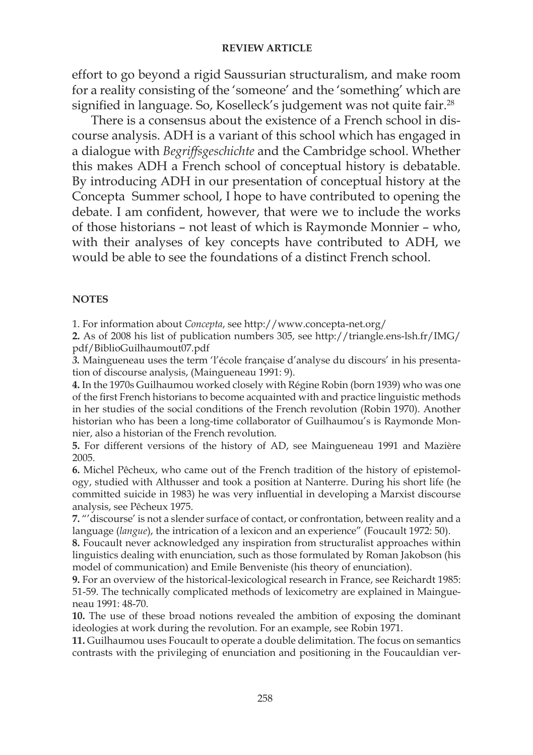effort to go beyond a rigid Saussurian structuralism, and make room for a reality consisting of the 'someone' and the 'something' which are signified in language. So, Koselleck's judgement was not quite fair.<sup>28</sup>

There is a consensus about the existence of a French school in discourse analysis. ADH is a variant of this school which has engaged in a dialogue with *Begriffsgeschichte* and the Cambridge school. Whether this makes ADH a French school of conceptual history is debatable. By introducing ADH in our presentation of conceptual history at the Concepta Summer school, I hope to have contributed to opening the debate. I am confident, however, that were we to include the works of those historians – not least of which is Raymonde Monnier – who, with their analyses of key concepts have contributed to ADH, we would be able to see the foundations of a distinct French school.

#### **NOTES**

1. For information about *Concepta*, see http://www.concepta-net.org/

**2.** As of 2008 his list of publication numbers 305, see http://triangle.ens-lsh.fr/IMG/ pdf/BiblioGuilhaumout07.pdf

*3.* Maingueneau uses the term 'l'école française d'analyse du discours' in his presentation of discourse analysis, (Maingueneau 1991: 9).

**4.** In the 1970s Guilhaumou worked closely with Régine Robin (born 1939) who was one of the first French historians to become acquainted with and practice linguistic methods in her studies of the social conditions of the French revolution (Robin 1970). Another historian who has been a long-time collaborator of Guilhaumou's is Raymonde Monnier, also a historian of the French revolution.

**5.** For different versions of the history of AD, see Maingueneau 1991 and Mazière 2005.

**6.** Michel Pêcheux, who came out of the French tradition of the history of epistemology, studied with Althusser and took a position at Nanterre. During his short life (he committed suicide in 1983) he was very influential in developing a Marxist discourse analysis, see Pêcheux 1975.

**7.** "'discourse' is not a slender surface of contact, or confrontation, between reality and a language (*langue*), the intrication of a lexicon and an experience" (Foucault 1972: 50).

**8.** Foucault never acknowledged any inspiration from structuralist approaches within linguistics dealing with enunciation, such as those formulated by Roman Jakobson (his model of communication) and Emile Benveniste (his theory of enunciation).

**9.** For an overview of the historical-lexicological research in France, see Reichardt 1985: 51-59. The technically complicated methods of lexicometry are explained in Maingueneau 1991: 48-70.

**10.** The use of these broad notions revealed the ambition of exposing the dominant ideologies at work during the revolution. For an example, see Robin 1971.

**11.** Guilhaumou uses Foucault to operate a double delimitation. The focus on semantics contrasts with the privileging of enunciation and positioning in the Foucauldian ver-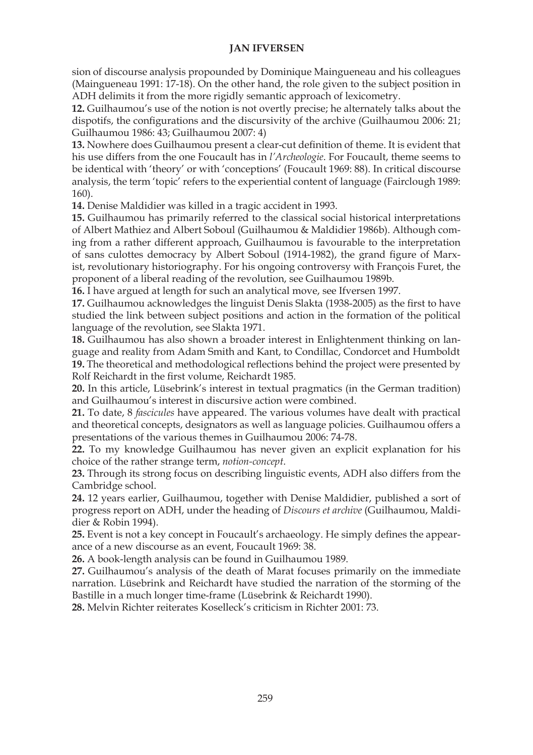sion of discourse analysis propounded by Dominique Maingueneau and his colleagues (Maingueneau 1991: 17-18). On the other hand, the role given to the subject position in ADH delimits it from the more rigidly semantic approach of lexicometry.

**12.** Guilhaumou's use of the notion is not overtly precise; he alternately talks about the dispotifs, the configurations and the discursivity of the archive (Guilhaumou 2006: 21; Guilhaumou 1986: 43; Guilhaumou 2007: 4)

**13.** Nowhere does Guilhaumou present a clear-cut definition of theme. It is evident that his use differs from the one Foucault has in *l'Archeologie*. For Foucault, theme seems to be identical with 'theory' or with 'conceptions' (Foucault 1969: 88). In critical discourse analysis, the term 'topic' refers to the experiential content of language (Fairclough 1989: 160).

**14.** Denise Maldidier was killed in a tragic accident in 1993.

**15.** Guilhaumou has primarily referred to the classical social historical interpretations of Albert Mathiez and Albert Soboul (Guilhaumou & Maldidier 1986b). Although coming from a rather different approach, Guilhaumou is favourable to the interpretation of sans culottes democracy by Albert Soboul (1914-1982), the grand figure of Marxist, revolutionary historiography. For his ongoing controversy with François Furet, the proponent of a liberal reading of the revolution, see Guilhaumou 1989b.

**16.** I have argued at length for such an analytical move, see Ifversen 1997.

**17.** Guilhaumou acknowledges the linguist Denis Slakta (1938-2005) as the first to have studied the link between subject positions and action in the formation of the political language of the revolution, see Slakta 1971.

**18.** Guilhaumou has also shown a broader interest in Enlightenment thinking on language and reality from Adam Smith and Kant, to Condillac, Condorcet and Humboldt **19.** The theoretical and methodological reflections behind the project were presented by Rolf Reichardt in the first volume, Reichardt 1985.

**20.** In this article, Lüsebrink's interest in textual pragmatics (in the German tradition) and Guilhaumou's interest in discursive action were combined.

**21.** To date, 8 *fascicules* have appeared. The various volumes have dealt with practical and theoretical concepts, designators as well as language policies. Guilhaumou offers a presentations of the various themes in Guilhaumou 2006: 74-78.

**22.** To my knowledge Guilhaumou has never given an explicit explanation for his choice of the rather strange term, *notion-concept*.

**23.** Through its strong focus on describing linguistic events, ADH also differs from the Cambridge school.

**24.** 12 years earlier, Guilhaumou, together with Denise Maldidier, published a sort of progress report on ADH, under the heading of *Discours et archive* (Guilhaumou, Maldidier & Robin 1994).

**25.** Event is not a key concept in Foucault's archaeology. He simply defines the appearance of a new discourse as an event, Foucault 1969: 38.

**26.** A book-length analysis can be found in Guilhaumou 1989.

**27.** Guilhaumou's analysis of the death of Marat focuses primarily on the immediate narration. Lüsebrink and Reichardt have studied the narration of the storming of the Bastille in a much longer time-frame (Lüsebrink & Reichardt 1990).

**28.** Melvin Richter reiterates Koselleck's criticism in Richter 2001: 73.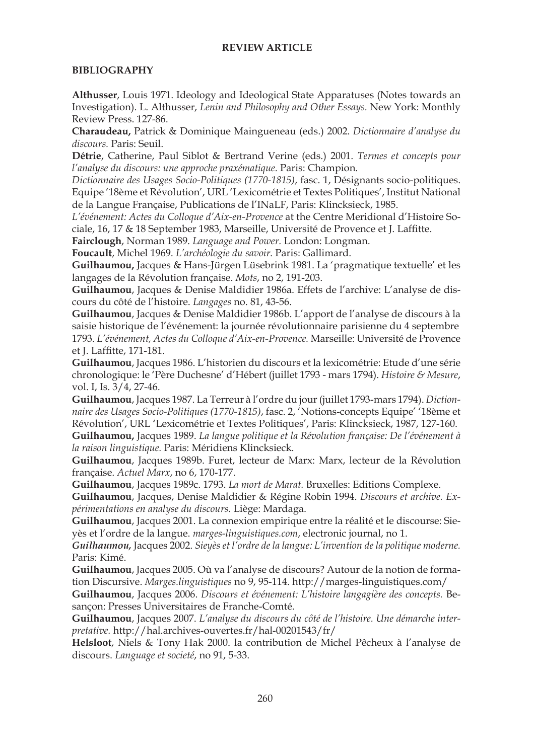#### **BIBLIOGRAPHY**

**Althusser**, Louis 1971. Ideology and Ideological State Apparatuses (Notes towards an Investigation). L. Althusser, *Lenin and Philosophy and Other Essays.* New York: Monthly Review Press. 127-86.

**Charaudeau,** Patrick & Dominique Maingueneau (eds.) 2002. *Dictionnaire d'analyse du discours.* Paris: Seuil.

**Détrie**, Catherine, Paul Siblot & Bertrand Verine (eds.) 2001. *Termes et concepts pour l'analyse du discours: une approche praxématique. Paris: Champion.* 

*Dictionnaire des Usages Socio-Politiques (1770-1815)*, fasc. 1, Désignants socio-politiques. Equipe '18ème et Révolution', URL 'Lexicométrie et Textes Politiques', Institut National de la Langue Française, Publications de l'INaLF, Paris: Klincksieck, 1985.

*L'événement: Actes du Colloque d'Aix-en-Provence* at the Centre Meridional d'Histoire Sociale, 16, 17 & 18 September 1983, Marseille, Université de Provence et J. Laffitte.

**Fairclough**, Norman 1989. *Language and Power.* London: Longman.

**Foucault**, Michel 1969. *L'archéologie du savoir.* Paris: Gallimard.

**Guilhaumou,** Jacques & Hans-Jürgen Lüsebrink 1981. La 'pragmatique textuelle' et les langages de la Révolution française. *Mots*, no 2, 191-203.

**Guilhaumou**, Jacques & Denise Maldidier 1986a. Effets de l'archive: L'analyse de discours du côté de l'histoire. *Langages* no. 81, 43-56.

**Guilhaumou**, Jacques & Denise Maldidier 1986b. L'apport de l'analyse de discours à la saisie historique de l'événement: la journée révolutionnaire parisienne du 4 septembre 1793. *L'événement, Actes du Colloque d'Aix-en-Provence.* Marseille: Université de Provence et J. Laffitte, 171-181.

**Guilhaumou**, Jacques 1986. L'historien du discours et la lexicométrie: Etude d'une série chronologique: le 'Père Duchesne' d'Hébert (juillet 1793 - mars 1794). *Histoire & Mesure*, vol. I, Is. 3/4, 27-46.

**Guilhaumou**, Jacques 1987. La Terreur à l'ordre du jour (juillet 1793-mars 1794). *Dictionnaire des Usages Socio-Politiques (1770-1815)*, fasc. 2, 'Notions-concepts Equipe' '18ème et Révolution', URL 'Lexicométrie et Textes Politiques', Paris: Klincksieck, 1987, 127-160. **Guilhaumou,** Jacques 1989. *La langue politique et la Révolution française: De l'événement à la raison linguistique.* Paris: Méridiens Klincksieck.

**Guilhaumou**, Jacques 1989b. Furet, lecteur de Marx: Marx, lecteur de la Révolution française. *Actuel Marx*, no 6, 170-177.

**Guilhaumou**, Jacques 1989c. 1793. *La mort de Marat.* Bruxelles: Editions Complexe.

**Guilhaumou**, Jacques, Denise Maldidier & Régine Robin 1994. *Discours et archive. Expérimentations en analyse du discours.* Liège: Mardaga.

**Guilhaumou**, Jacques 2001. La connexion empirique entre la réalité et le discourse: Sieyès et l'ordre de la langue. *marges-linguistiques.com*, electronic journal, no 1.

*Guilhaumou,* Jacques 2002. *Sieyès et l'ordre de la langue: L'invention de la politique moderne.* Paris: Kimé.

**Guilhaumou**, Jacques 2005. Où va l'analyse de discours? Autour de la notion de formation Discursive. *Marges.linguistiques* no 9, 95-114. http://marges-linguistiques.com/

**Guilhaumou**, Jacques 2006. *Discours et événement: L'histoire langagière des concepts.* Besançon: Presses Universitaires de Franche-Comté.

**Guilhaumou**, Jacques 2007. *L'analyse du discours du côté de l'histoire. Une démarche interpretative.* http://hal.archives-ouvertes.fr/hal-00201543/fr/

**Helsloot**, Niels & Tony Hak 2000. la contribution de Michel Pêcheux à l'analyse de discours. *Language et societé*, no 91, 5-33.